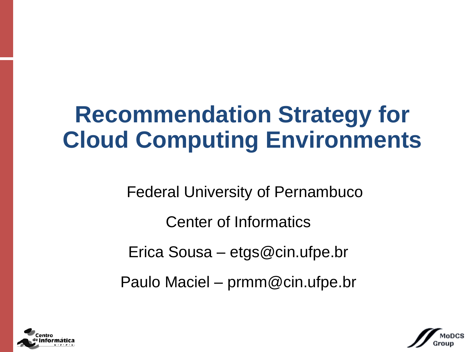# **Recommendation Strategy for Cloud Computing Environments**

Federal University of Pernambuco

Center of Informatics

Erica Sousa – etgs@cin.ufpe.br

Paulo Maciel – prmm@cin.ufpe.br



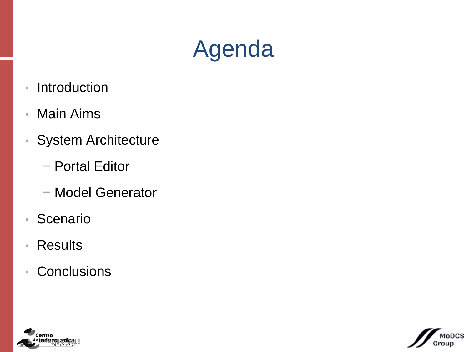# Agenda

- Introduction
- Main Aims
- System Architecture
	- − Portal Editor
	- − Model Generator
- Scenario
- Results
- Conclusions



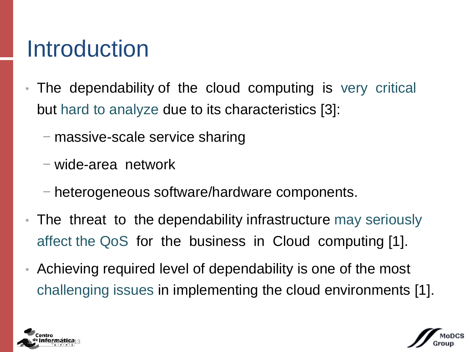## **Introduction**

- The dependability of the cloud computing is very critical but hard to analyze due to its characteristics [3]:
	- − massive-scale service sharing
	- − wide-area network
	- − heterogeneous software/hardware components.
- The threat to the dependability infrastructure may seriously affect the QoS for the business in Cloud computing [1].
- Achieving required level of dependability is one of the most challenging issues in implementing the cloud environments [1].



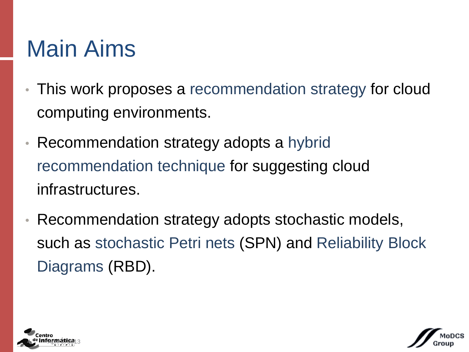# Main Aims

- This work proposes a recommendation strategy for cloud computing environments.
- Recommendation strategy adopts a hybrid recommendation technique for suggesting cloud infrastructures.
- Recommendation strategy adopts stochastic models, such as stochastic Petri nets (SPN) and Reliability Block Diagrams (RBD).



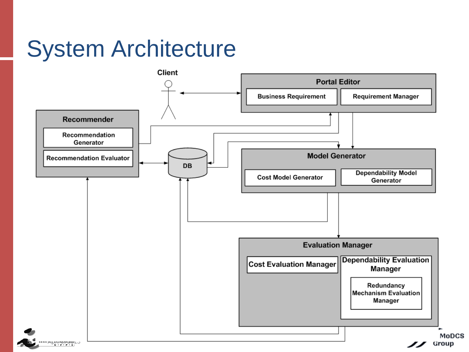# System Architecture

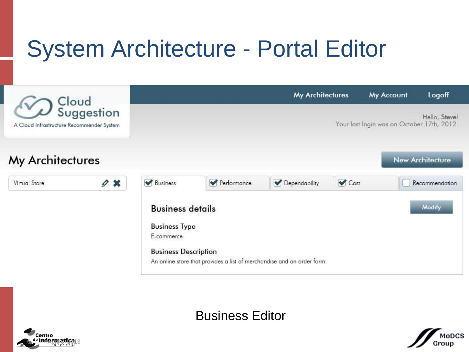# System Architecture - Portal Editor



Business Editor



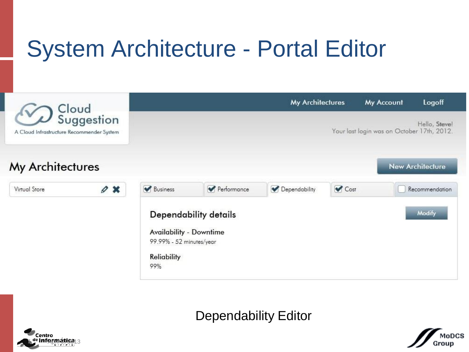# System Architecture - Portal Editor



Dependability Editor



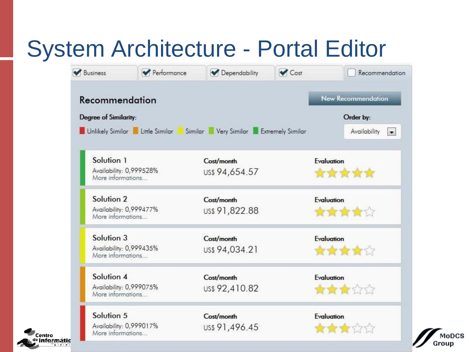# System Architecture - Portal Editor

Informátic

Centro

| Business                                     | Performance                                                            | Dependability  | Cost | Recommendation                         |  |
|----------------------------------------------|------------------------------------------------------------------------|----------------|------|----------------------------------------|--|
| Recommendation                               |                                                                        |                |      | <b>New Recommendation</b>              |  |
| <b>Degree of Similarity:</b>                 |                                                                        |                |      | Order by:                              |  |
|                                              | Unlikely Similar Little Similar Similar Very Similar Extremely Similar |                |      | Availability<br>$\left  \cdot \right $ |  |
| Solution 1                                   |                                                                        | Cost/month     |      | Evaluation                             |  |
| Availability: 0,999528%<br>More informations |                                                                        | US\$ 94,654.57 |      | 食食食食食                                  |  |
| Solution 2                                   |                                                                        | Cost/month     |      | Evaluation                             |  |
| Availability: 0,999477%<br>More informations |                                                                        | US\$ 91,822.88 |      | 食食食食                                   |  |
| Solution 3                                   |                                                                        | Cost/month     |      | Evaluation                             |  |
| Availability: 0,999435%<br>More informations |                                                                        | US\$ 94,034.21 |      | 食食食食☆                                  |  |
| Solution 4                                   |                                                                        | Cost/month     |      | Evaluation                             |  |
| Availability: 0,999075%<br>More informations |                                                                        | US\$ 92,410.82 |      | 食食食食食                                  |  |
| Solution 5                                   |                                                                        | Cost/month     |      | Evaluation                             |  |
| Availability: 0,999017%<br>More informations |                                                                        | US\$ 91,496.45 |      | 食食食食食                                  |  |

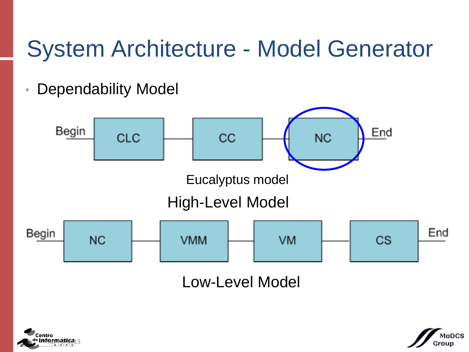# System Architecture - Model Generator

• Dependability Model





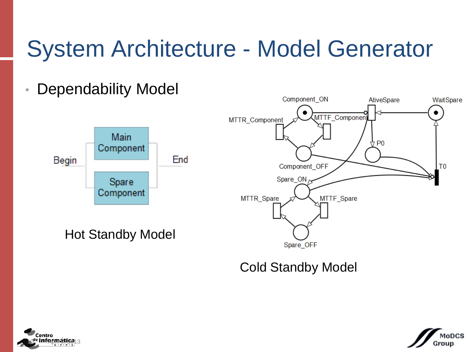# System Architecture - Model Generator

## • Dependability Model



Hot Standby Model

Component ON AtiveSpare WaitSpare MTTF Componen MTTR\_Component  $4b$  b0 Component\_OFF T<sub>0</sub> Spare  $ON<sub>r</sub>$ MTTF Spare MTTR\_Spare Spare OFF

Cold Standby Model



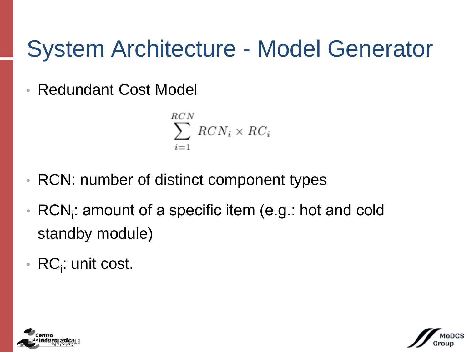# System Architecture - Model Generator

• Redundant Cost Model

$$
\sum_{i=1}^{RCN} RCN_i \times RC_i
$$

- RCN: number of distinct component types
- $\bullet$  RCN<sub>i</sub>: amount of a specific item (e.g.: hot and cold standby module)
- RC<sub>i</sub>: unit cost.



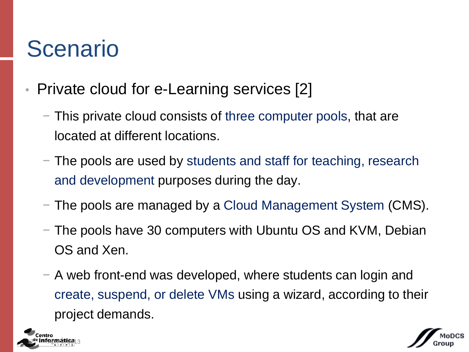- Private cloud for e-Learning services [2]
	- − This private cloud consists of three computer pools, that are located at different locations.
	- − The pools are used by students and staff for teaching, research and development purposes during the day.
	- − The pools are managed by a Cloud Management System (CMS).
	- − The pools have 30 computers with Ubuntu OS and KVM, Debian OS and Xen.
	- − A web front-end was developed, where students can login and create, suspend, or delete VMs using a wizard, according to their project demands.



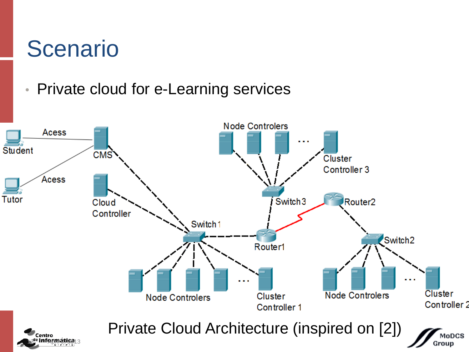## • Private cloud for e-Learning services

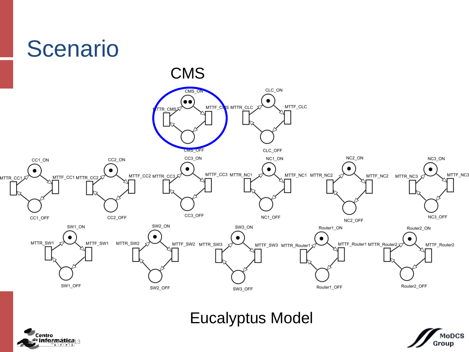



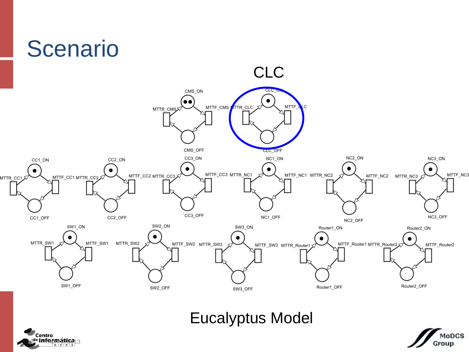



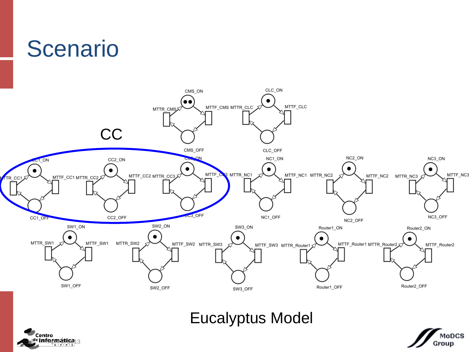



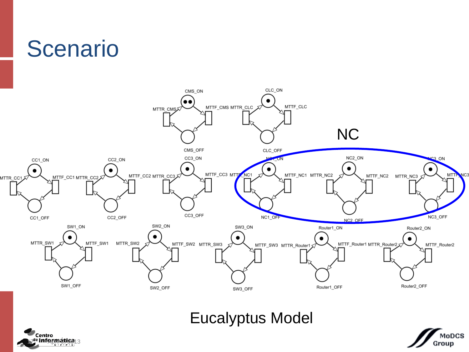



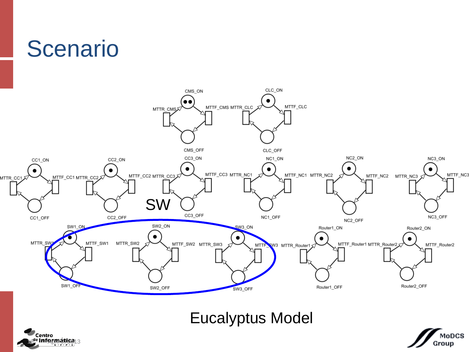



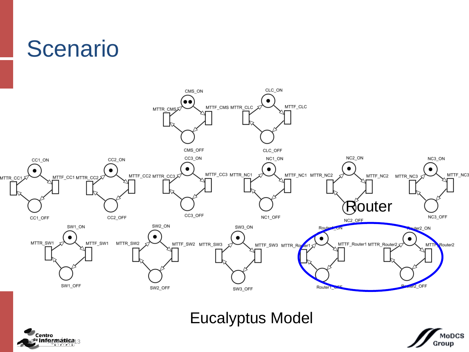#### **Scenario** CLC\_ON CMS\_ON  $\bullet$  $\bullet$ MTTF\_CMS MTTR\_CLC MTTF\_CLC MTTR\_CMS CMS\_OFF CLC\_OFF CC3\_ON NC2\_ON CC2\_ON NC1\_ON CC1\_ON  $\bullet$  $\bullet$  $\bullet$ MTTF\_CC3 MTTR\_NC1 MTTF\_CC2 MTTR\_CC3 MTTF\_NC1 MTTR\_NC2 MTTF\_CC1 MTTR\_CC2 MTTR CC1 CC3\_OFF NC1\_OFF CC2\_OFF CC1\_OFF NC2\_OFF SW2\_ON SW1\_ON SW3\_ON Rou  $\bullet$ ٠ MTTR\_SW1 MTTF\_SW1 MTTR\_SW2 MTTF\_SW2 MTTR\_SW3 MTTF\_SW3 MTTR\_Roy ter1





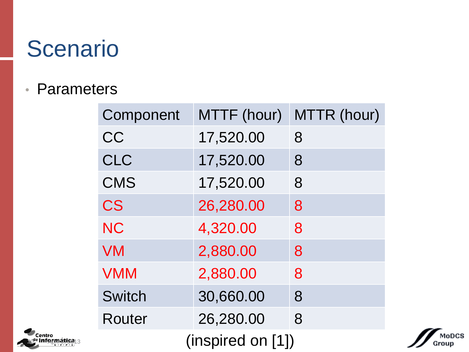### • Parameters

Informática $_{13}$ 

Centro

| Component         | MTTF (hour) | MTTR (hour) |  |  |  |  |  |
|-------------------|-------------|-------------|--|--|--|--|--|
| CC                | 17,520.00   | 8           |  |  |  |  |  |
| <b>CLC</b>        | 17,520.00   | 8           |  |  |  |  |  |
| <b>CMS</b>        | 17,520.00   | 8           |  |  |  |  |  |
| <b>CS</b>         | 26,280.00   | 8           |  |  |  |  |  |
| <b>NC</b>         | 4,320.00    | 8           |  |  |  |  |  |
| <b>VM</b>         | 2,880.00    | 8           |  |  |  |  |  |
| <b>VMM</b>        | 2,880.00    | 8           |  |  |  |  |  |
| <b>Switch</b>     | 30,660.00   | 8           |  |  |  |  |  |
| Router            | 26,280.00   | 8           |  |  |  |  |  |
| (inspired on [1]) |             |             |  |  |  |  |  |

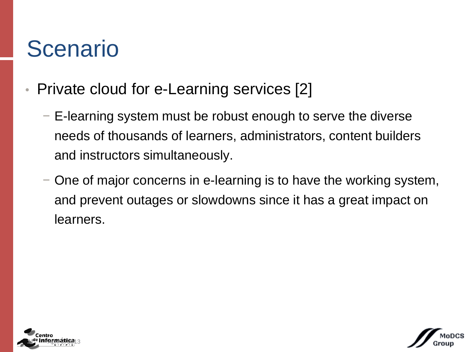- Private cloud for e-Learning services [2]
	- − E-learning system must be robust enough to serve the diverse needs of thousands of learners, administrators, content builders and instructors simultaneously.
	- − One of major concerns in e-learning is to have the working system, and prevent outages or slowdowns since it has a great impact on learners.



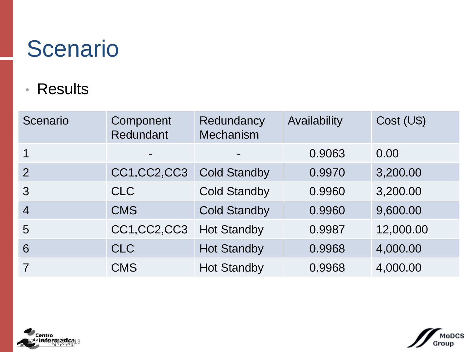## • Results

| Scenario       | Component<br>Redundant | Redundancy<br><b>Mechanism</b> | Availability | Cost (U\$) |
|----------------|------------------------|--------------------------------|--------------|------------|
| 1              | -                      |                                | 0.9063       | 0.00       |
| $\overline{2}$ | CC1, CC2, CC3          | <b>Cold Standby</b>            | 0.9970       | 3,200.00   |
| 3              | <b>CLC</b>             | <b>Cold Standby</b>            | 0.9960       | 3,200.00   |
| $\overline{4}$ | <b>CMS</b>             | <b>Cold Standby</b>            | 0.9960       | 9,600.00   |
| 5              | CC1,CC2,CC3            | <b>Hot Standby</b>             | 0.9987       | 12,000.00  |
| 6              | <b>CLC</b>             | <b>Hot Standby</b>             | 0.9968       | 4,000.00   |
| $\overline{7}$ | <b>CMS</b>             | <b>Hot Standby</b>             | 0.9968       | 4,000.00   |